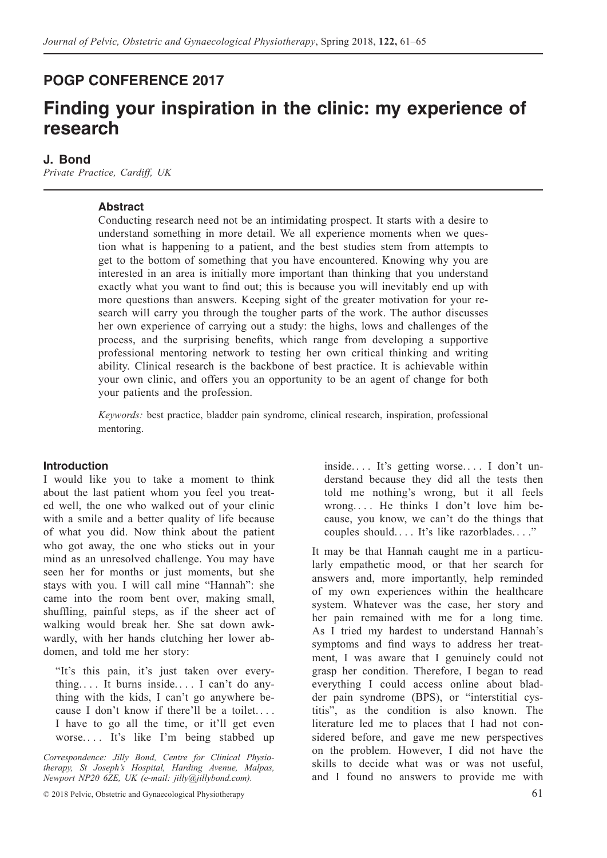## **POGP CONFERENCE 2017**

# **Finding your inspiration in the clinic: my experience of research**

### **J. Bond**

*Private Practice, Cardiff, UK*

### **Abstract**

Conducting research need not be an intimidating prospect. It starts with a desire to understand something in more detail. We all experience moments when we question what is happening to a patient, and the best studies stem from attempts to get to the bottom of something that you have encountered. Knowing why you are interested in an area is initially more important than thinking that you understand exactly what you want to find out; this is because you will inevitably end up with more questions than answers. Keeping sight of the greater motivation for your research will carry you through the tougher parts of the work. The author discusses her own experience of carrying out a study: the highs, lows and challenges of the process, and the surprising benefits, which range from developing a supportive professional mentoring network to testing her own critical thinking and writing ability. Clinical research is the backbone of best practice. It is achievable within your own clinic, and offers you an opportunity to be an agent of change for both your patients and the profession.

*Keywords:* best practice, bladder pain syndrome, clinical research, inspiration, professional mentoring.

#### **Introduction**

I would like you to take a moment to think about the last patient whom you feel you treated well, the one who walked out of your clinic with a smile and a better quality of life because of what you did. Now think about the patient who got away, the one who sticks out in your mind as an unresolved challenge. You may have seen her for months or just moments, but she stays with you. I will call mine "Hannah": she came into the room bent over, making small, shuffling, painful steps, as if the sheer act of walking would break her. She sat down awkwardly, with her hands clutching her lower abdomen, and told me her story:

"It's this pain, it's just taken over everything. . . . It burns inside. . . . I can't do anything with the kids, I can't go anywhere because I don't know if there'll be a toilet. . . . I have to go all the time, or it'll get even worse. . . . It's like I'm being stabbed up

*Correspondence: Jilly Bond, Centre for Clinical Physiotherapy, St Joseph's Hospital, Harding Avenue, Malpas, Newport NP20 6ZE, UK (e-mail: jilly@jillybond.com).*

inside. . . . It's getting worse. . . . I don't understand because they did all the tests then told me nothing's wrong, but it all feels wrong. . . . He thinks I don't love him because, you know, we can't do the things that couples should. . . . It's like razorblades. . . ."

It may be that Hannah caught me in a particularly empathetic mood, or that her search for answers and, more importantly, help reminded of my own experiences within the healthcare system. Whatever was the case, her story and her pain remained with me for a long time. As I tried my hardest to understand Hannah's symptoms and find ways to address her treatment, I was aware that I genuinely could not grasp her condition. Therefore, I began to read everything I could access online about bladder pain syndrome (BPS), or "interstitial cystitis", as the condition is also known. The literature led me to places that I had not considered before, and gave me new perspectives on the problem. However, I did not have the skills to decide what was or was not useful, and I found no answers to provide me with

<sup>© 2018</sup> Pelvic, Obstetric and Gynaecological Physiotherapy 61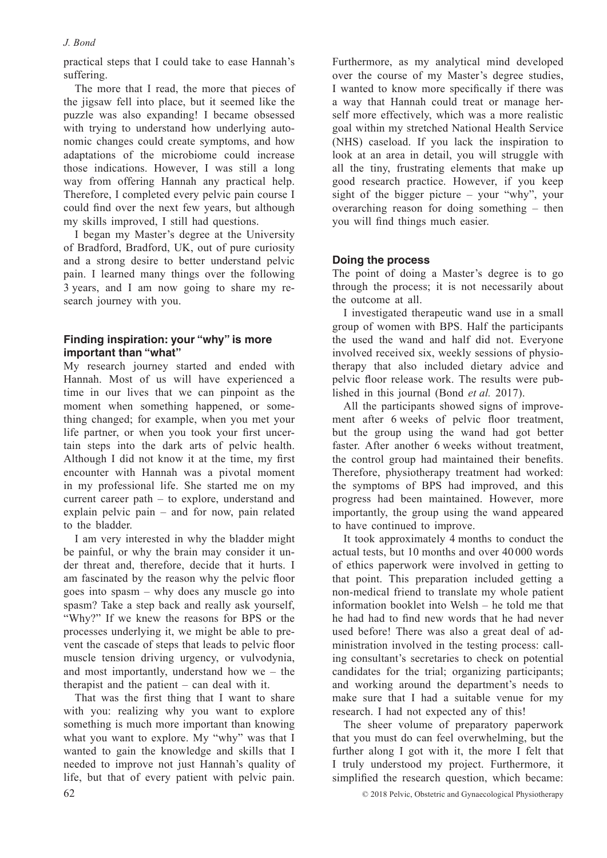## *J. Bond*

practical steps that I could take to ease Hannah's suffering.

The more that I read, the more that pieces of the jigsaw fell into place, but it seemed like the puzzle was also expanding! I became obsessed with trying to understand how underlying autonomic changes could create symptoms, and how adaptations of the microbiome could increase those indications. However, I was still a long way from offering Hannah any practical help. Therefore, I completed every pelvic pain course I could find over the next few years, but although my skills improved, I still had questions.

I began my Master's degree at the University of Bradford, Bradford, UK, out of pure curiosity and a strong desire to better understand pelvic pain. I learned many things over the following 3 years, and I am now going to share my research journey with you.

## **Finding inspiration: your "why" is more important than "what"**

My research journey started and ended with Hannah. Most of us will have experienced a time in our lives that we can pinpoint as the moment when something happened, or something changed; for example, when you met your life partner, or when you took your first uncertain steps into the dark arts of pelvic health. Although I did not know it at the time, my first encounter with Hannah was a pivotal moment in my professional life. She started me on my current career path – to explore, understand and explain pelvic pain – and for now, pain related to the bladder.

I am very interested in why the bladder might be painful, or why the brain may consider it under threat and, therefore, decide that it hurts. I am fascinated by the reason why the pelvic floor goes into spasm – why does any muscle go into spasm? Take a step back and really ask yourself, "Why?" If we knew the reasons for BPS or the processes underlying it, we might be able to prevent the cascade of steps that leads to pelvic floor muscle tension driving urgency, or vulvodynia, and most importantly, understand how we – the therapist and the patient – can deal with it.

That was the first thing that I want to share with you: realizing why you want to explore something is much more important than knowing what you want to explore. My "why" was that I wanted to gain the knowledge and skills that I needed to improve not just Hannah's quality of life, but that of every patient with pelvic pain. Furthermore, as my analytical mind developed over the course of my Master's degree studies, I wanted to know more specifically if there was a way that Hannah could treat or manage herself more effectively, which was a more realistic goal within my stretched National Health Service (NHS) caseload. If you lack the inspiration to look at an area in detail, you will struggle with all the tiny, frustrating elements that make up good research practice. However, if you keep sight of the bigger picture – your "why", your overarching reason for doing something – then you will find things much easier.

## **Doing the process**

The point of doing a Master's degree is to go through the process; it is not necessarily about the outcome at all.

I investigated therapeutic wand use in a small group of women with BPS. Half the participants the used the wand and half did not. Everyone involved received six, weekly sessions of physiotherapy that also included dietary advice and pelvic floor release work. The results were published in this journal (Bond *et al.* 2017).

All the participants showed signs of improvement after 6 weeks of pelvic floor treatment, but the group using the wand had got better faster. After another 6 weeks without treatment, the control group had maintained their benefits. Therefore, physiotherapy treatment had worked: the symptoms of BPS had improved, and this progress had been maintained. However, more importantly, the group using the wand appeared to have continued to improve.

It took approximately 4 months to conduct the actual tests, but 10 months and over 40 000 words of ethics paperwork were involved in getting to that point. This preparation included getting a non-medical friend to translate my whole patient information booklet into Welsh – he told me that he had had to find new words that he had never used before! There was also a great deal of administration involved in the testing process: calling consultant's secretaries to check on potential candidates for the trial; organizing participants; and working around the department's needs to make sure that I had a suitable venue for my research. I had not expected any of this!

The sheer volume of preparatory paperwork that you must do can feel overwhelming, but the further along I got with it, the more I felt that I truly understood my project. Furthermore, it simplified the research question, which became:

62 © 2018 Pelvic, Obstetric and Gynaecological Physiotherapy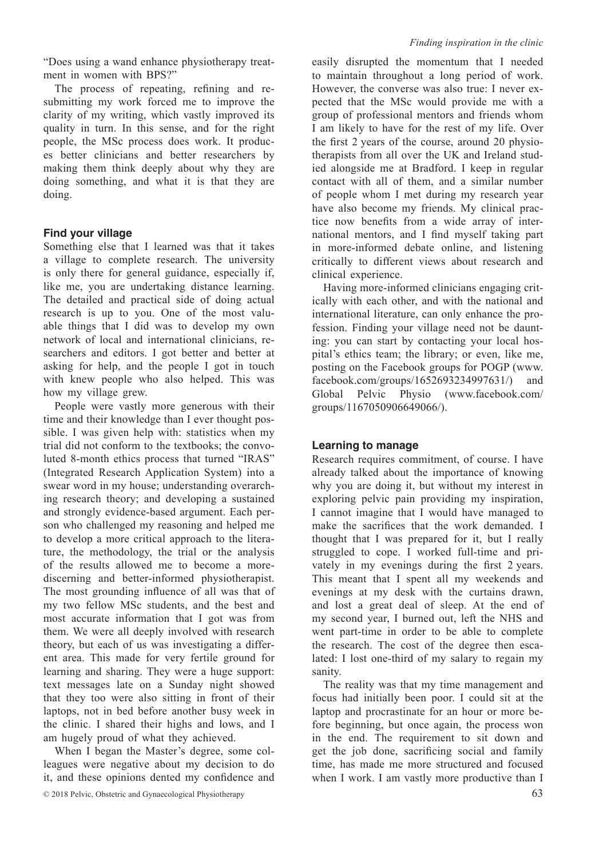"Does using a wand enhance physiotherapy treatment in women with BPS?"

The process of repeating, refining and resubmitting my work forced me to improve the clarity of my writing, which vastly improved its quality in turn. In this sense, and for the right people, the MSc process does work. It produces better clinicians and better researchers by making them think deeply about why they are doing something, and what it is that they are doing.

## **Find your village**

Something else that I learned was that it takes a village to complete research. The university is only there for general guidance, especially if, like me, you are undertaking distance learning. The detailed and practical side of doing actual research is up to you. One of the most valuable things that I did was to develop my own network of local and international clinicians, researchers and editors. I got better and better at asking for help, and the people I got in touch with knew people who also helped. This was how my village grew.

People were vastly more generous with their time and their knowledge than I ever thought possible. I was given help with: statistics when my trial did not conform to the textbooks; the convoluted 8-month ethics process that turned "IRAS" (Integrated Research Application System) into a swear word in my house; understanding overarching research theory; and developing a sustained and strongly evidence-based argument. Each person who challenged my reasoning and helped me to develop a more critical approach to the literature, the methodology, the trial or the analysis of the results allowed me to become a more-discerning and better-informed physiotherapist. The most grounding influence of all was that of my two fellow MSc students, and the best and most accurate information that I got was from them. We were all deeply involved with research theory, but each of us was investigating a different area. This made for very fertile ground for learning and sharing. They were a huge support: text messages late on a Sunday night showed that they too were also sitting in front of their laptops, not in bed before another busy week in the clinic. I shared their highs and lows, and I am hugely proud of what they achieved.

When I began the Master's degree, some colleagues were negative about my decision to do it, and these opinions dented my confidence and easily disrupted the momentum that I needed to maintain throughout a long period of work. However, the converse was also true: I never expected that the MSc would provide me with a group of professional mentors and friends whom I am likely to have for the rest of my life. Over the first 2 years of the course, around 20 physiotherapists from all over the UK and Ireland studied alongside me at Bradford. I keep in regular contact with all of them, and a similar number of people whom I met during my research year have also become my friends. My clinical practice now benefits from a wide array of international mentors, and I find myself taking part in more-informed debate online, and listening critically to different views about research and clinical experience.

Having more-informed clinicians engaging critically with each other, and with the national and international literature, can only enhance the profession. Finding your village need not be daunting: you can start by contacting your local hospital's ethics team; the library; or even, like me, posting on the Facebook groups for POGP (www. facebook.com/groups/1652693234997631/) and Global Pelvic Physio (www.facebook.com/ groups/1167050906649066/).

## **Learning to manage**

Research requires commitment, of course. I have already talked about the importance of knowing why you are doing it, but without my interest in exploring pelvic pain providing my inspiration, I cannot imagine that I would have managed to make the sacrifices that the work demanded. I thought that I was prepared for it, but I really struggled to cope. I worked full-time and privately in my evenings during the first 2 years. This meant that I spent all my weekends and evenings at my desk with the curtains drawn, and lost a great deal of sleep. At the end of my second year, I burned out, left the NHS and went part-time in order to be able to complete the research. The cost of the degree then escalated: I lost one-third of my salary to regain my sanity.

The reality was that my time management and focus had initially been poor. I could sit at the laptop and procrastinate for an hour or more before beginning, but once again, the process won in the end. The requirement to sit down and get the job done, sacrificing social and family time, has made me more structured and focused when I work. I am vastly more productive than I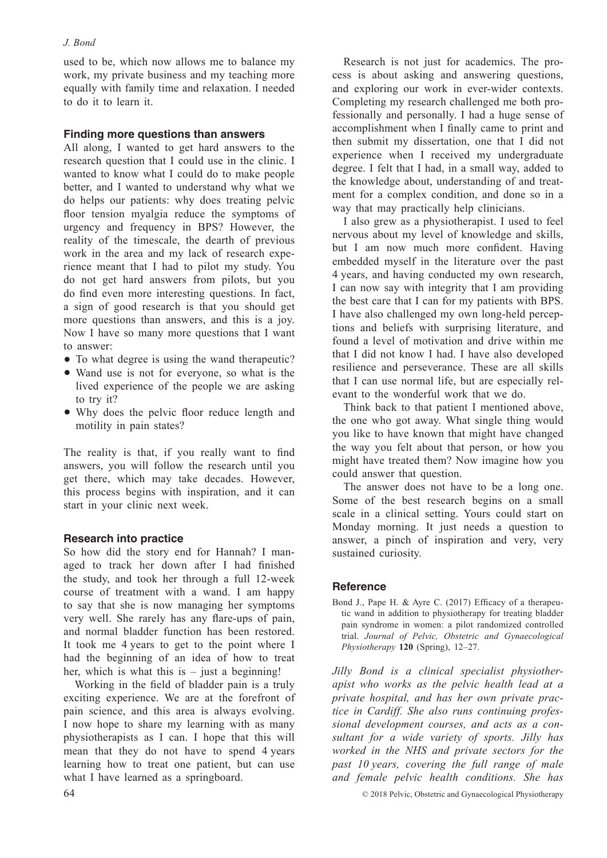### *J. Bond*

used to be, which now allows me to balance my work, my private business and my teaching more equally with family time and relaxation. I needed to do it to learn it.

## **Finding more questions than answers**

All along, I wanted to get hard answers to the research question that I could use in the clinic. I wanted to know what I could do to make people better, and I wanted to understand why what we do helps our patients: why does treating pelvic floor tension myalgia reduce the symptoms of urgency and frequency in BPS? However, the reality of the timescale, the dearth of previous work in the area and my lack of research experience meant that I had to pilot my study. You do not get hard answers from pilots, but you do find even more interesting questions. In fact, a sign of good research is that you should get more questions than answers, and this is a joy. Now I have so many more questions that I want to answer:

- To what degree is using the wand therapeutic?
- Wand use is not for everyone, so what is the lived experience of the people we are asking to try it?
- Why does the pelvic floor reduce length and motility in pain states?

The reality is that, if you really want to find answers, you will follow the research until you get there, which may take decades. However, this process begins with inspiration, and it can start in your clinic next week.

## **Research into practice**

So how did the story end for Hannah? I managed to track her down after I had finished the study, and took her through a full 12-week course of treatment with a wand. I am happy to say that she is now managing her symptoms very well. She rarely has any flare-ups of pain, and normal bladder function has been restored. It took me 4 years to get to the point where I had the beginning of an idea of how to treat her, which is what this is  $-$  just a beginning!

Working in the field of bladder pain is a truly exciting experience. We are at the forefront of pain science, and this area is always evolving. I now hope to share my learning with as many physiotherapists as I can. I hope that this will mean that they do not have to spend 4 years learning how to treat one patient, but can use what I have learned as a springboard.

Research is not just for academics. The process is about asking and answering questions, and exploring our work in ever-wider contexts. Completing my research challenged me both professionally and personally. I had a huge sense of accomplishment when I finally came to print and then submit my dissertation, one that I did not experience when I received my undergraduate degree. I felt that I had, in a small way, added to the knowledge about, understanding of and treatment for a complex condition, and done so in a way that may practically help clinicians.

I also grew as a physiotherapist. I used to feel nervous about my level of knowledge and skills, but I am now much more confident. Having embedded myself in the literature over the past 4 years, and having conducted my own research, I can now say with integrity that I am providing the best care that I can for my patients with BPS. I have also challenged my own long-held perceptions and beliefs with surprising literature, and found a level of motivation and drive within me that I did not know I had. I have also developed resilience and perseverance. These are all skills that I can use normal life, but are especially relevant to the wonderful work that we do.

Think back to that patient I mentioned above, the one who got away. What single thing would you like to have known that might have changed the way you felt about that person, or how you might have treated them? Now imagine how you could answer that question.

The answer does not have to be a long one. Some of the best research begins on a small scale in a clinical setting. Yours could start on Monday morning. It just needs a question to answer, a pinch of inspiration and very, very sustained curiosity.

## **Reference**

Bond J., Pape H. & Ayre C. (2017) Efficacy of a therapeutic wand in addition to physiotherapy for treating bladder pain syndrome in women: a pilot randomized controlled trial. *Journal of Pelvic, Obstetric and Gynaecological Physiotherapy* **120** (Spring), 12–27.

*Jilly Bond is a clinical specialist physiotherapist who works as the pelvic health lead at a private hospital, and has her own private practice in Cardiff. She also runs continuing professional development courses, and acts as a consultant for a wide variety of sports. Jilly has worked in the NHS and private sectors for the past 10 years, covering the full range of male and female pelvic health conditions. She has* 

64 © 2018 Pelvic, Obstetric and Gynaecological Physiotherapy